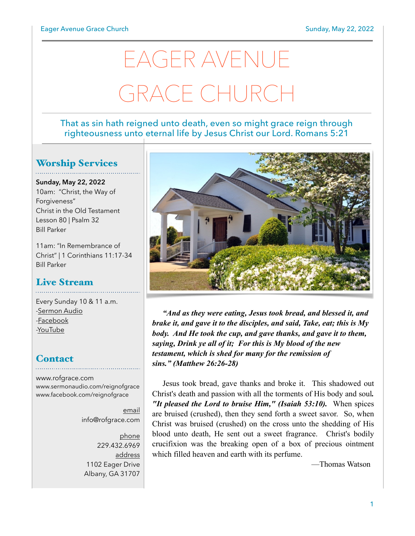# EAGER AVENUE GRACE CHURCH

#### That as sin hath reigned unto death, even so might grace reign through righteousness unto eternal life by Jesus Christ our Lord. Romans 5:21

## Worship Services

**Sunday, May 22, 2022** 10am: "Christ, the Way of Forgiveness" Christ in the Old Testament Lesson 80 | Psalm 32 Bill Parker

11am: "In Remembrance of Christ" | 1 Corinthians 11:17-34 Bill Parker

## Live Stream

Every Sunday 10 & 11 a.m. [-Sermon Audio](http://sermonaudio.com/reignofgrace) [-Facebook](http://facebook.com/eageravechurch) [-YouTube](http://youtube.com/channel/UCu_lTHCIUOK0cka9AjFV_5Q/live)

## **Contact**

[www.rofgrace.com](http://www.rofgrace.com) [www.sermonaudio.com/reignofgrace](http://www.sermonaudio.com/reignofgrace) [www.facebook.com/reignofgrace](http://www.facebook.com/reignofgrace)

> email [info@rofgrace.com](mailto:info@rofgrace.com?subject=)

phone 229.432.6969 address 1102 Eager Drive Albany, GA 31707



*"And as they were eating, Jesus took bread, and blessed it, and brake it, and gave it to the disciples, and said, Take, eat; this is My body. And He took the cup, and gave thanks, and gave it to them, saying, Drink ye all of it; For this is My blood of the new testament, which is shed for many for the remission of sins." (Matthew 26:26-28)*

 Jesus took bread, gave thanks and broke it. This shadowed out Christ's death and passion with all the torments of His body and soul*. "It pleased the Lord to bruise Him," (Isaiah 53:10).* When spices are bruised (crushed), then they send forth a sweet savor. So, when Christ was bruised (crushed) on the cross unto the shedding of His blood unto death, He sent out a sweet fragrance. Christ's bodily crucifixion was the breaking open of a box of precious ointment which filled heaven and earth with its perfume.

—Thomas Watson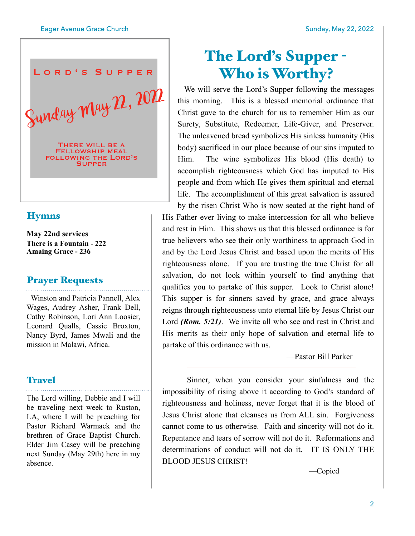

#### **Hymns**

**May 22nd services There is a Fountain - 222 Amaing Grace - 236**

#### Prayer Requests

 Winston and Patricia Pannell, Alex Wages, Audrey Asher, Frank Dell, Cathy Robinson, Lori Ann Loosier, Leonard Qualls, Cassie Broxton, Nancy Byrd, James Mwali and the mission in Malawi, Africa.

#### **Travel**

The Lord willing, Debbie and I will be traveling next week to Ruston, LA, where I will be preaching for Pastor Richard Warmack and the brethren of Grace Baptist Church. Elder Jim Casey will be preaching next Sunday (May 29th) here in my absence.

# The Lord's Supper - Who is Worthy?

 We will serve the Lord's Supper following the messages this morning. This is a blessed memorial ordinance that Christ gave to the church for us to remember Him as our Surety, Substitute, Redeemer, Life-Giver, and Preserver. The unleavened bread symbolizes His sinless humanity (His body) sacrificed in our place because of our sins imputed to Him. The wine symbolizes His blood (His death) to accomplish righteousness which God has imputed to His people and from which He gives them spiritual and eternal life. The accomplishment of this great salvation is assured by the risen Christ Who is now seated at the right hand of His Father ever living to make intercession for all who believe and rest in Him. This shows us that this blessed ordinance is for true believers who see their only worthiness to approach God in and by the Lord Jesus Christ and based upon the merits of His righteousness alone. If you are trusting the true Christ for all salvation, do not look within yourself to find anything that qualifies you to partake of this supper. Look to Christ alone! This supper is for sinners saved by grace, and grace always reigns through righteousness unto eternal life by Jesus Christ our Lord *(Rom. 5:21)*. We invite all who see and rest in Christ and His merits as their only hope of salvation and eternal life to partake of this ordinance with us.

—Pastor Bill Parker

 Sinner, when you consider your sinfulness and the impossibility of rising above it according to God's standard of righteousness and holiness, never forget that it is the blood of Jesus Christ alone that cleanses us from ALL sin. Forgiveness cannot come to us otherwise. Faith and sincerity will not do it. Repentance and tears of sorrow will not do it. Reformations and determinations of conduct will not do it. IT IS ONLY THE BLOOD JESUS CHRIST!

—Copied